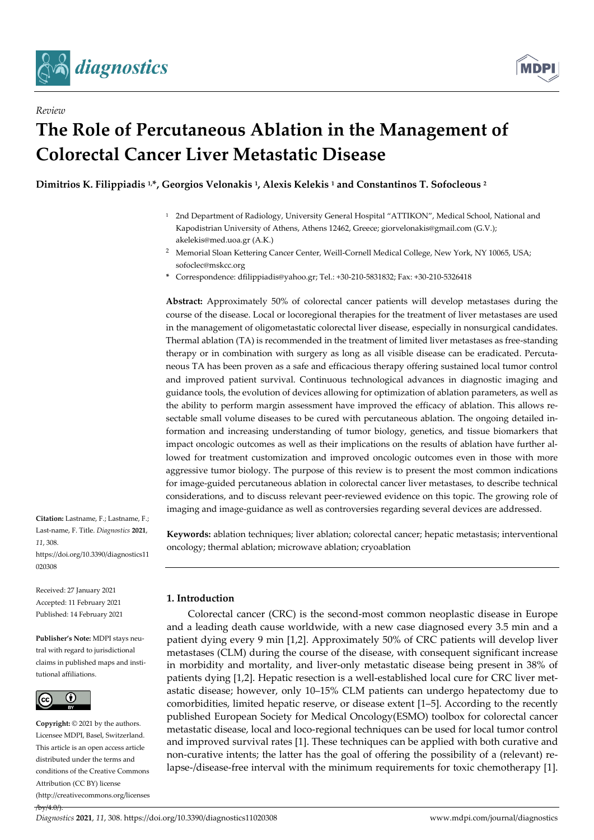

*Review*



# **The Role of Percutaneous Ablation in the Management of Colorectal Cancer Liver Metastatic Disease**

**Dimitrios K. Filippiadis 1,\*, Georgios Velonakis <sup>1</sup> , Alexis Kelekis <sup>1</sup> and Constantinos T. Sofocleous <sup>2</sup>**

- <sup>1</sup> 2nd Department of Radiology, University General Hospital "ATTIKON", Medical School, National and Kapodistrian University of Athens, Athens 12462, Greece; giorvelonakis@gmail.com (G.V.); akelekis@med.uoa.gr (A.K.)
- <sup>2</sup> Memorial Sloan Kettering Cancer Center, Weill-Cornell Medical College, New York, NY 10065, USA; sofoclec@mskcc.org
- **\*** Correspondence: dfilippiadis@yahoo.gr; Tel.: +30-210-5831832; Fax: +30-210-5326418

**Abstract:** Approximately 50% of colorectal cancer patients will develop metastases during the course of the disease. Local or locoregional therapies for the treatment of liver metastases are used in the management of oligometastatic colorectal liver disease, especially in nonsurgical candidates. Thermal ablation (TA) is recommended in the treatment of limited liver metastases as free-standing therapy or in combination with surgery as long as all visible disease can be eradicated. Percutaneous TA has been proven as a safe and efficacious therapy offering sustained local tumor control and improved patient survival. Continuous technological advances in diagnostic imaging and guidance tools, the evolution of devices allowing for optimization of ablation parameters, as well as the ability to perform margin assessment have improved the efficacy of ablation. This allows resectable small volume diseases to be cured with percutaneous ablation. The ongoing detailed information and increasing understanding of tumor biology, genetics, and tissue biomarkers that impact oncologic outcomes as well as their implications on the results of ablation have further allowed for treatment customization and improved oncologic outcomes even in those with more aggressive tumor biology. The purpose of this review is to present the most common indications for image-guided percutaneous ablation in colorectal cancer liver metastases, to describe technical considerations, and to discuss relevant peer-reviewed evidence on this topic. The growing role of imaging and image-guidance as well as controversies regarding several devices are addressed.

**Keywords:** ablation techniques; liver ablation; colorectal cancer; hepatic metastasis; interventional oncology; thermal ablation; microwave ablation; cryoablation

**Citation:** Lastname, F.; Lastname, F.; Last-name, F. Title. *Diagnostics* **2021**, *11*, 308. https://doi.org/10.3390/diagnostics11 020308

Received: 27 January 2021 Accepted: 11 February 2021 Published: 14 February 2021

**Publisher's Note:** MDPI stays neutral with regard to jurisdictional claims in published maps and institutional affiliations.



 $/10$ 

**Copyright:** © 2021 by the authors. Licensee MDPI, Basel, Switzerland. This article is an open access article distributed under the terms and conditions of the Creative Commons Attribution (CC BY) license (http://creativecommons.org/licenses **1. Introduction**

Colorectal cancer (CRC) is the second-most common neoplastic disease in Europe and a leading death cause worldwide, with a new case diagnosed every 3.5 min and a patient dying every 9 min [1,2]. Approximately 50% of CRC patients will develop liver metastases (CLM) during the course of the disease, with consequent significant increase in morbidity and mortality, and liver-only metastatic disease being present in 38% of patients dying [1,2]. Hepatic resection is a well-established local cure for CRC liver metastatic disease; however, only 10–15% CLM patients can undergo hepatectomy due to comorbidities, limited hepatic reserve, or disease extent [1–5]. According to the recently published European Society for Medical Oncology(ESMO) toolbox for colorectal cancer metastatic disease, local and loco-regional techniques can be used for local tumor control and improved survival rates [1]. These techniques can be applied with both curative and non-curative intents; the latter has the goal of offering the possibility of a (relevant) relapse-/disease-free interval with the minimum requirements for toxic chemotherapy [1].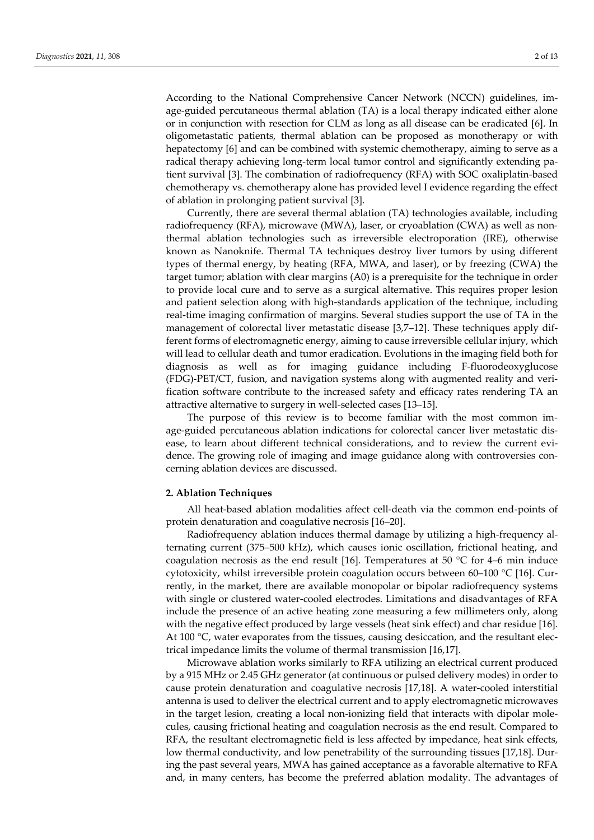According to the National Comprehensive Cancer Network (NCCN) guidelines, image-guided percutaneous thermal ablation (TA) is a local therapy indicated either alone or in conjunction with resection for CLM as long as all disease can be eradicated [6]. In oligometastatic patients, thermal ablation can be proposed as monotherapy or with hepatectomy [6] and can be combined with systemic chemotherapy, aiming to serve as a radical therapy achieving long-term local tumor control and significantly extending patient survival [3]. The combination of radiofrequency (RFA) with SOC oxaliplatin-based chemotherapy vs. chemotherapy alone has provided level I evidence regarding the effect of ablation in prolonging patient survival [3].

Currently, there are several thermal ablation (TA) technologies available, including radiofrequency (RFA), microwave (MWA), laser, or cryoablation (CWA) as well as nonthermal ablation technologies such as irreversible electroporation (IRE), otherwise known as Nanoknife. Thermal TA techniques destroy liver tumors by using different types of thermal energy, by heating (RFA, MWA, and laser), or by freezing (CWA) the target tumor; ablation with clear margins (A0) is a prerequisite for the technique in order to provide local cure and to serve as a surgical alternative. This requires proper lesion and patient selection along with high-standards application of the technique, including real-time imaging confirmation of margins. Several studies support the use of TA in the management of colorectal liver metastatic disease [3,7–12]. These techniques apply different forms of electromagnetic energy, aiming to cause irreversible cellular injury, which will lead to cellular death and tumor eradication. Evolutions in the imaging field both for diagnosis as well as for imaging guidance including F-fluorodeoxyglucose (FDG)-PET/CT, fusion, and navigation systems along with augmented reality and verification software contribute to the increased safety and efficacy rates rendering TA an attractive alternative to surgery in well-selected cases [13–15].

The purpose of this review is to become familiar with the most common image-guided percutaneous ablation indications for colorectal cancer liver metastatic disease, to learn about different technical considerations, and to review the current evidence. The growing role of imaging and image guidance along with controversies concerning ablation devices are discussed.

#### **2. Ablation Techniques**

All heat-based ablation modalities affect cell-death via the common end-points of protein denaturation and coagulative necrosis [16–20].

Radiofrequency ablation induces thermal damage by utilizing a high-frequency alternating current (375–500 kHz), which causes ionic oscillation, frictional heating, and coagulation necrosis as the end result [16]. Temperatures at 50 °C for 4–6 min induce cytotoxicity, whilst irreversible protein coagulation occurs between 60–100  $^{\circ}$ C [16]. Currently, in the market, there are available monopolar or bipolar radiofrequency systems with single or clustered water-cooled electrodes. Limitations and disadvantages of RFA include the presence of an active heating zone measuring a few millimeters only, along with the negative effect produced by large vessels (heat sink effect) and char residue [16]. At 100 °C, water evaporates from the tissues, causing desiccation, and the resultant electrical impedance limits the volume of thermal transmission [16,17].

Microwave ablation works similarly to RFA utilizing an electrical current produced by a 915 MHz or 2.45 GHz generator (at continuous or pulsed delivery modes) in order to cause protein denaturation and coagulative necrosis [17,18]. A water-cooled interstitial antenna is used to deliver the electrical current and to apply electromagnetic microwaves in the target lesion, creating a local non-ionizing field that interacts with dipolar molecules, causing frictional heating and coagulation necrosis as the end result. Compared to RFA, the resultant electromagnetic field is less affected by impedance, heat sink effects, low thermal conductivity, and low penetrability of the surrounding tissues [17,18]. During the past several years, MWA has gained acceptance as a favorable alternative to RFA and, in many centers, has become the preferred ablation modality. The advantages of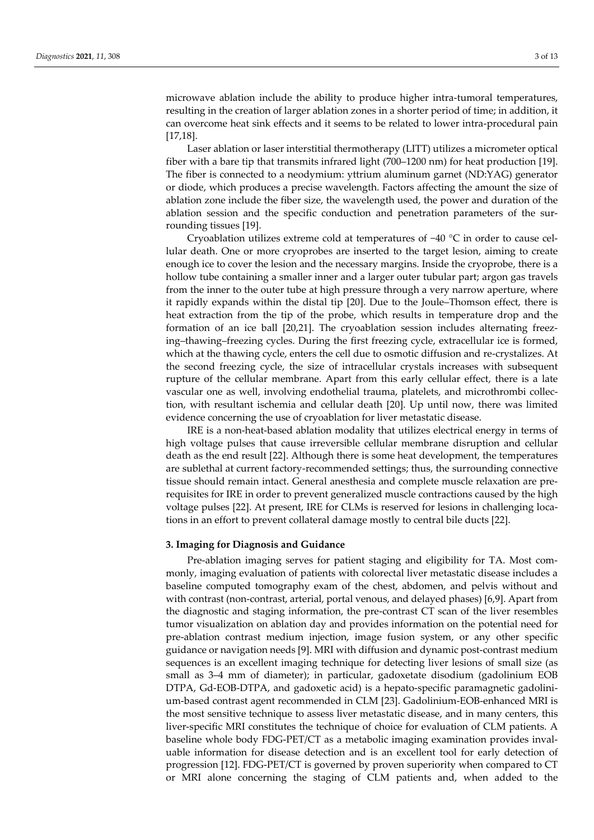microwave ablation include the ability to produce higher intra-tumoral temperatures, resulting in the creation of larger ablation zones in a shorter period of time; in addition, it can overcome heat sink effects and it seems to be related to lower intra-procedural pain [17,18].

Laser ablation or laser interstitial thermotherapy (LITT) utilizes a micrometer optical fiber with a bare tip that transmits infrared light (700–1200 nm) for heat production [19]. The fiber is connected to a neodymium: yttrium aluminum garnet (ND:YAG) generator or diode, which produces a precise wavelength. Factors affecting the amount the size of ablation zone include the fiber size, the wavelength used, the power and duration of the ablation session and the specific conduction and penetration parameters of the surrounding tissues [19].

Cryoablation utilizes extreme cold at temperatures of −40 °C in order to cause cellular death. One or more cryoprobes are inserted to the target lesion, aiming to create enough ice to cover the lesion and the necessary margins. Inside the cryoprobe, there is a hollow tube containing a smaller inner and a larger outer tubular part; argon gas travels from the inner to the outer tube at high pressure through a very narrow aperture, where it rapidly expands within the distal tip [20]. Due to the Joule–Thomson effect, there is heat extraction from the tip of the probe, which results in temperature drop and the formation of an ice ball [20,21]. The cryoablation session includes alternating freezing–thawing–freezing cycles. During the first freezing cycle, extracellular ice is formed, which at the thawing cycle, enters the cell due to osmotic diffusion and re-crystalizes. At the second freezing cycle, the size of intracellular crystals increases with subsequent rupture of the cellular membrane. Apart from this early cellular effect, there is a late vascular one as well, involving endothelial trauma, platelets, and microthrombi collection, with resultant ischemia and cellular death [20]. Up until now, there was limited evidence concerning the use of cryoablation for liver metastatic disease.

IRE is a non-heat-based ablation modality that utilizes electrical energy in terms of high voltage pulses that cause irreversible cellular membrane disruption and cellular death as the end result [22]. Although there is some heat development, the temperatures are sublethal at current factory-recommended settings; thus, the surrounding connective tissue should remain intact. General anesthesia and complete muscle relaxation are prerequisites for IRE in order to prevent generalized muscle contractions caused by the high voltage pulses [22]. At present, IRE for CLMs is reserved for lesions in challenging locations in an effort to prevent collateral damage mostly to central bile ducts [22].

## **3. Imaging for Diagnosis and Guidance**

Pre-ablation imaging serves for patient staging and eligibility for TA. Most commonly, imaging evaluation of patients with colorectal liver metastatic disease includes a baseline computed tomography exam of the chest, abdomen, and pelvis without and with contrast (non-contrast, arterial, portal venous, and delayed phases) [6,9]. Apart from the diagnostic and staging information, the pre-contrast CT scan of the liver resembles tumor visualization on ablation day and provides information on the potential need for pre-ablation contrast medium injection, image fusion system, or any other specific guidance or navigation needs [9]. MRI with diffusion and dynamic post-contrast medium sequences is an excellent imaging technique for detecting liver lesions of small size (as small as 3–4 mm of diameter); in particular, gadoxetate disodium (gadolinium EOB DTPA, Gd-EOB-DTPA, and gadoxetic acid) is a hepato-specific paramagnetic gadolinium-based contrast agent recommended in CLM [23]. Gadolinium-EOB-enhanced MRI is the most sensitive technique to assess liver metastatic disease, and in many centers, this liver-specific MRI constitutes the technique of choice for evaluation of CLM patients. A baseline whole body FDG-PET/CT as a metabolic imaging examination provides invaluable information for disease detection and is an excellent tool for early detection of progression [12]. FDG-PET/CT is governed by proven superiority when compared to CT or MRI alone concerning the staging of CLM patients and, when added to the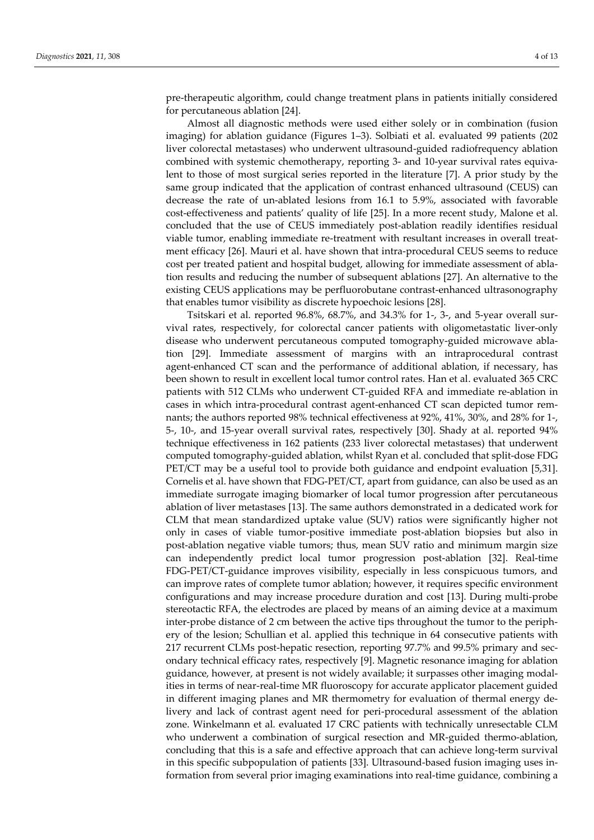pre-therapeutic algorithm, could change treatment plans in patients initially considered for percutaneous ablation [24].

Almost all diagnostic methods were used either solely or in combination (fusion imaging) for ablation guidance (Figures 1–3). Solbiati et al. evaluated 99 patients (202 liver colorectal metastases) who underwent ultrasound-guided radiofrequency ablation combined with systemic chemotherapy, reporting 3- and 10-year survival rates equivalent to those of most surgical series reported in the literature [7]. A prior study by the same group indicated that the application of contrast enhanced ultrasound (CEUS) can decrease the rate of un-ablated lesions from 16.1 to 5.9%, associated with favorable cost-effectiveness and patients' quality of life [25]. In a more recent study, Malone et al. concluded that the use of CEUS immediately post-ablation readily identifies residual viable tumor, enabling immediate re-treatment with resultant increases in overall treatment efficacy [26]. Mauri et al. have shown that intra-procedural CEUS seems to reduce cost per treated patient and hospital budget, allowing for immediate assessment of ablation results and reducing the number of subsequent ablations [27]. An alternative to the existing CEUS applications may be perfluorobutane contrast-enhanced ultrasonography that enables tumor visibility as discrete hypoechoic lesions [28].

Tsitskari et al. reported 96.8%, 68.7%, and 34.3% for 1-, 3-, and 5-year overall survival rates, respectively, for colorectal cancer patients with oligometastatic liver-only disease who underwent percutaneous computed tomography-guided microwave ablation [29]. Immediate assessment of margins with an intraprocedural contrast agent-enhanced CT scan and the performance of additional ablation, if necessary, has been shown to result in excellent local tumor control rates. Han et al. evaluated 365 CRC patients with 512 CLMs who underwent CT-guided RFA and immediate re-ablation in cases in which intra-procedural contrast agent-enhanced CT scan depicted tumor remnants; the authors reported 98% technical effectiveness at 92%, 41%, 30%, and 28% for 1-, 5-, 10-, and 15-year overall survival rates, respectively [30]. Shady at al. reported 94% technique effectiveness in 162 patients (233 liver colorectal metastases) that underwent computed tomography-guided ablation, whilst Ryan et al. concluded that split-dose FDG PET/CT may be a useful tool to provide both guidance and endpoint evaluation [5,31]. Cornelis et al. have shown that FDG-PET/CT, apart from guidance, can also be used as an immediate surrogate imaging biomarker of local tumor progression after percutaneous ablation of liver metastases [13]. The same authors demonstrated in a dedicated work for CLM that mean standardized uptake value (SUV) ratios were significantly higher not only in cases of viable tumor-positive immediate post-ablation biopsies but also in post-ablation negative viable tumors; thus, mean SUV ratio and minimum margin size can independently predict local tumor progression post-ablation [32]. Real-time FDG-PET/CT-guidance improves visibility, especially in less conspicuous tumors, and can improve rates of complete tumor ablation; however, it requires specific environment configurations and may increase procedure duration and cost [13]. During multi-probe stereotactic RFA, the electrodes are placed by means of an aiming device at a maximum inter-probe distance of 2 cm between the active tips throughout the tumor to the periphery of the lesion; Schullian et al. applied this technique in 64 consecutive patients with 217 recurrent CLMs post-hepatic resection, reporting 97.7% and 99.5% primary and secondary technical efficacy rates, respectively [9]. Magnetic resonance imaging for ablation guidance, however, at present is not widely available; it surpasses other imaging modalities in terms of near-real-time MR fluoroscopy for accurate applicator placement guided in different imaging planes and MR thermometry for evaluation of thermal energy delivery and lack of contrast agent need for peri-procedural assessment of the ablation zone. Winkelmann et al. evaluated 17 CRC patients with technically unresectable CLM who underwent a combination of surgical resection and MR-guided thermo-ablation, concluding that this is a safe and effective approach that can achieve long-term survival in this specific subpopulation of patients [33]. Ultrasound-based fusion imaging uses information from several prior imaging examinations into real-time guidance, combining a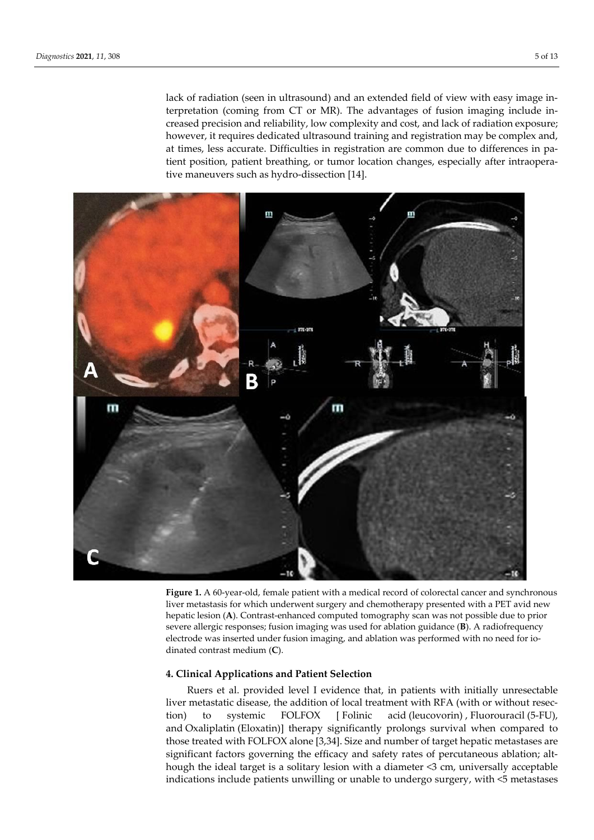lack of radiation (seen in ultrasound) and an extended field of view with easy image interpretation (coming from CT or MR). The advantages of fusion imaging include increased precision and reliability, low complexity and cost, and lack of radiation exposure; however, it requires dedicated ultrasound training and registration may be complex and, at times, less accurate. Difficulties in registration are common due to differences in patient position, patient breathing, or tumor location changes, especially after intraoperative maneuvers such as hydro-dissection [14].



**Figure 1.** A 60-year-old, female patient with a medical record of colorectal cancer and synchronous liver metastasis for which underwent surgery and chemotherapy presented with a PET avid new hepatic lesion (**A**). Contrast-enhanced computed tomography scan was not possible due to prior severe allergic responses; fusion imaging was used for ablation guidance (**B**). A radiofrequency electrode was inserted under fusion imaging, and ablation was performed with no need for iodinated contrast medium (**C**).

#### **4. Clinical Applications and Patient Selection**

Ruers et al. provided level I evidence that, in patients with initially unresectable liver metastatic disease, the addition of local treatment with RFA (with or without resection) to systemic FOLFOX [ Folinic acid (leucovorin) , Fluorouracil (5-FU), and Oxaliplatin (Eloxatin)] therapy significantly prolongs survival when compared to those treated with FOLFOX alone [3,34]. Size and number of target hepatic metastases are significant factors governing the efficacy and safety rates of percutaneous ablation; although the ideal target is a solitary lesion with a diameter <3 cm, universally acceptable indications include patients unwilling or unable to undergo surgery, with <5 metastases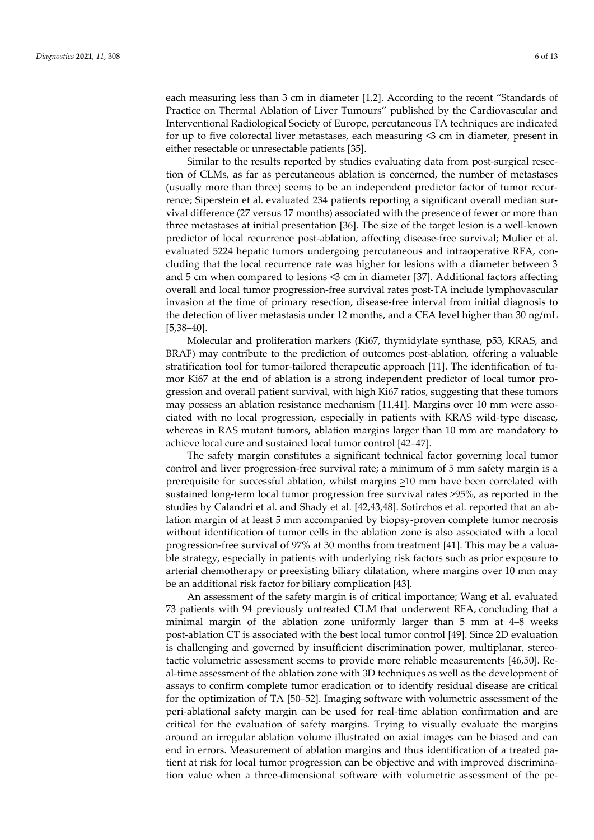each measuring less than 3 cm in diameter [1,2]. According to the recent "Standards of Practice on Thermal Ablation of Liver Tumours" published by the Cardiovascular and Interventional Radiological Society of Europe, percutaneous TA techniques are indicated for up to five colorectal liver metastases, each measuring <3 cm in diameter, present in either resectable or unresectable patients [35].

Similar to the results reported by studies evaluating data from post-surgical resection of CLMs, as far as percutaneous ablation is concerned, the number of metastases (usually more than three) seems to be an independent predictor factor of tumor recurrence; Siperstein et al. evaluated 234 patients reporting a significant overall median survival difference (27 versus 17 months) associated with the presence of fewer or more than three metastases at initial presentation [36]. The size of the target lesion is a well-known predictor of local recurrence post-ablation, affecting disease-free survival; Mulier et al. evaluated 5224 hepatic tumors undergoing percutaneous and intraoperative RFA, concluding that the local recurrence rate was higher for lesions with a diameter between 3 and 5 cm when compared to lesions <3 cm in diameter [37]. Additional factors affecting overall and local tumor progression-free survival rates post-TA include lymphovascular invasion at the time of primary resection, disease-free interval from initial diagnosis to the detection of liver metastasis under 12 months, and a CEA level higher than 30 ng/mL [5,38–40].

Molecular and proliferation markers (Ki67, thymidylate synthase, p53, KRAS, and BRAF) may contribute to the prediction of outcomes post-ablation, offering a valuable stratification tool for tumor-tailored therapeutic approach [11]. The identification of tumor Ki67 at the end of ablation is a strong independent predictor of local tumor progression and overall patient survival, with high Ki67 ratios, suggesting that these tumors may possess an ablation resistance mechanism [11,41]. Margins over 10 mm were associated with no local progression, especially in patients with KRAS wild-type disease, whereas in RAS mutant tumors, ablation margins larger than 10 mm are mandatory to achieve local cure and sustained local tumor control [42–47].

The safety margin constitutes a significant technical factor governing local tumor control and liver progression-free survival rate; a minimum of 5 mm safety margin is a prerequisite for successful ablation, whilst margins  $\geq 10$  mm have been correlated with sustained long-term local tumor progression free survival rates >95%, as reported in the studies by Calandri et al. and Shady et al. [42,43,48]. Sotirchos et al. reported that an ablation margin of at least 5 mm accompanied by biopsy-proven complete tumor necrosis without identification of tumor cells in the ablation zone is also associated with a local progression-free survival of 97% at 30 months from treatment [41]. This may be a valuable strategy, especially in patients with underlying risk factors such as prior exposure to arterial chemotherapy or preexisting biliary dilatation, where margins over 10 mm may be an additional risk factor for biliary complication [43].

An assessment of the safety margin is of critical importance; Wang et al. evaluated 73 patients with 94 previously untreated CLM that underwent RFA, concluding that a minimal margin of the ablation zone uniformly larger than 5 mm at 4–8 weeks post-ablation CT is associated with the best local tumor control [49]. Since 2D evaluation is challenging and governed by insufficient discrimination power, multiplanar, stereotactic volumetric assessment seems to provide more reliable measurements [46,50]. Real-time assessment of the ablation zone with 3D techniques as well as the development of assays to confirm complete tumor eradication or to identify residual disease are critical for the optimization of TA [50–52]. Imaging software with volumetric assessment of the peri-ablational safety margin can be used for real-time ablation confirmation and are critical for the evaluation of safety margins. Trying to visually evaluate the margins around an irregular ablation volume illustrated on axial images can be biased and can end in errors. Measurement of ablation margins and thus identification of a treated patient at risk for local tumor progression can be objective and with improved discrimination value when a three-dimensional software with volumetric assessment of the pe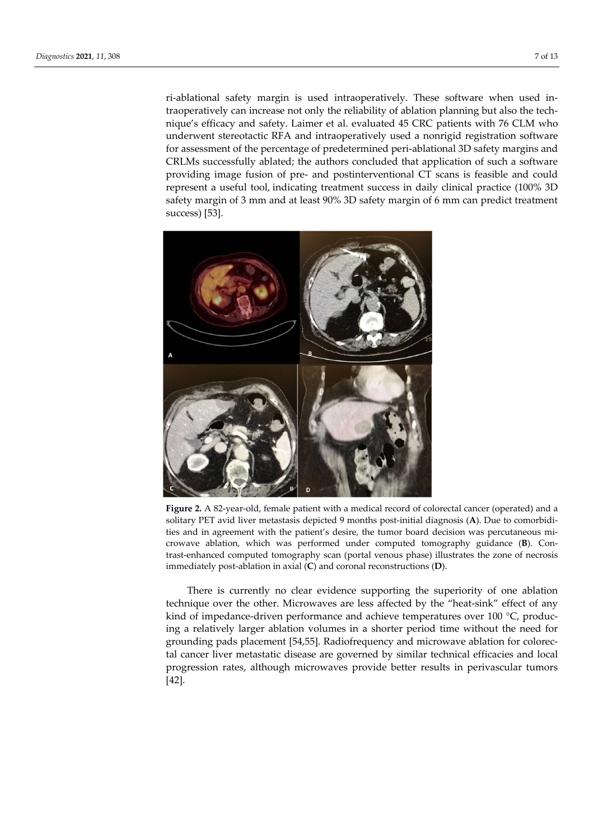ri-ablational safety margin is used intraoperatively. These software when used intraoperatively can increase not only the reliability of ablation planning but also the technique's efficacy and safety. Laimer et al. evaluated 45 CRC patients with 76 CLM who underwent stereotactic RFA and intraoperatively used a nonrigid registration software for assessment of the percentage of predetermined peri-ablational 3D safety margins and CRLMs successfully ablated; the authors concluded that application of such a software providing image fusion of pre- and postinterventional CT scans is feasible and could represent a useful tool, indicating treatment success in daily clinical practice (100% 3D safety margin of 3 mm and at least 90% 3D safety margin of 6 mm can predict treatment success) [53].



**Figure 2.** A 82-year-old, female patient with a medical record of colorectal cancer (operated) and a solitary PET avid liver metastasis depicted 9 months post-initial diagnosis (**A**). Due to comorbidities and in agreement with the patient's desire, the tumor board decision was percutaneous microwave ablation, which was performed under computed tomography guidance (**B**). Contrast-enhanced computed tomography scan (portal venous phase) illustrates the zone of necrosis immediately post-ablation in axial (**C**) and coronal reconstructions (**D**).

There is currently no clear evidence supporting the superiority of one ablation technique over the other. Microwaves are less affected by the "heat-sink" effect of any kind of impedance-driven performance and achieve temperatures over 100 °C, producing a relatively larger ablation volumes in a shorter period time without the need for grounding pads placement [54,55]. Radiofrequency and microwave ablation for colorectal cancer liver metastatic disease are governed by similar technical efficacies and local progression rates, although microwaves provide better results in perivascular tumors [42].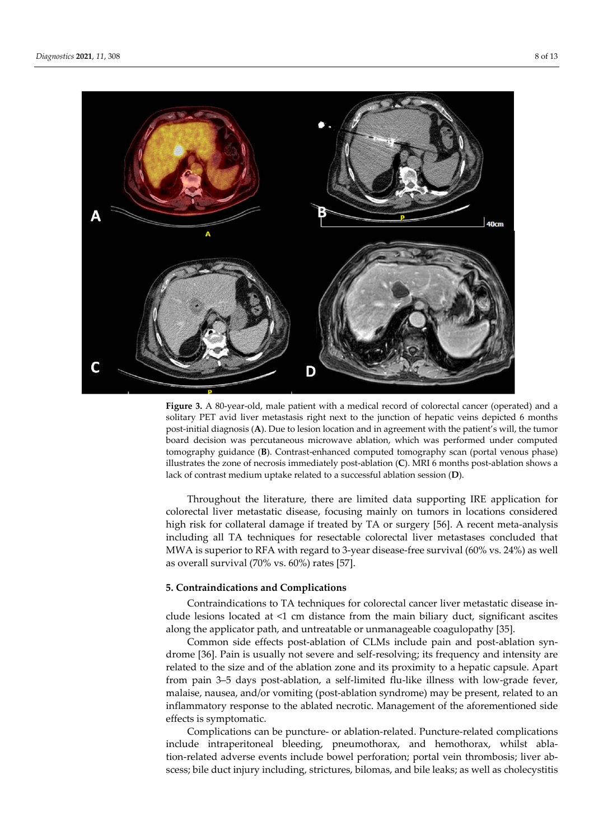

**Figure 3.** A 80-year-old, male patient with a medical record of colorectal cancer (operated) and a solitary PET avid liver metastasis right next to the junction of hepatic veins depicted 6 months post-initial diagnosis (**A**). Due to lesion location and in agreement with the patient's will, the tumor board decision was percutaneous microwave ablation, which was performed under computed tomography guidance (**B**). Contrast-enhanced computed tomography scan (portal venous phase) illustrates the zone of necrosis immediately post-ablation (**C**). MRI 6 months post-ablation shows a lack of contrast medium uptake related to a successful ablation session (**D**).

Throughout the literature, there are limited data supporting IRE application for colorectal liver metastatic disease, focusing mainly on tumors in locations considered high risk for collateral damage if treated by TA or surgery [56]. A recent meta-analysis including all TA techniques for resectable colorectal liver metastases concluded that MWA is superior to RFA with regard to 3-year disease-free survival (60% vs. 24%) as well as overall survival (70% vs. 60%) rates [57].

# **5. Contraindications and Complications**

Contraindications to TA techniques for colorectal cancer liver metastatic disease include lesions located at <1 cm distance from the main biliary duct, significant ascites along the applicator path, and untreatable or unmanageable coagulopathy [35].

Common side effects post-ablation of CLMs include pain and post-ablation syndrome [36]. Pain is usually not severe and self-resolving; its frequency and intensity are related to the size and of the ablation zone and its proximity to a hepatic capsule. Apart from pain 3–5 days post-ablation, a self-limited flu-like illness with low-grade fever, malaise, nausea, and/or vomiting (post-ablation syndrome) may be present, related to an inflammatory response to the ablated necrotic. Management of the aforementioned side effects is symptomatic.

Complications can be puncture- or ablation-related. Puncture-related complications include intraperitoneal bleeding, pneumothorax, and hemothorax, whilst ablation-related adverse events include bowel perforation; portal vein thrombosis; liver abscess; bile duct injury including, strictures, bilomas, and bile leaks; as well as cholecystitis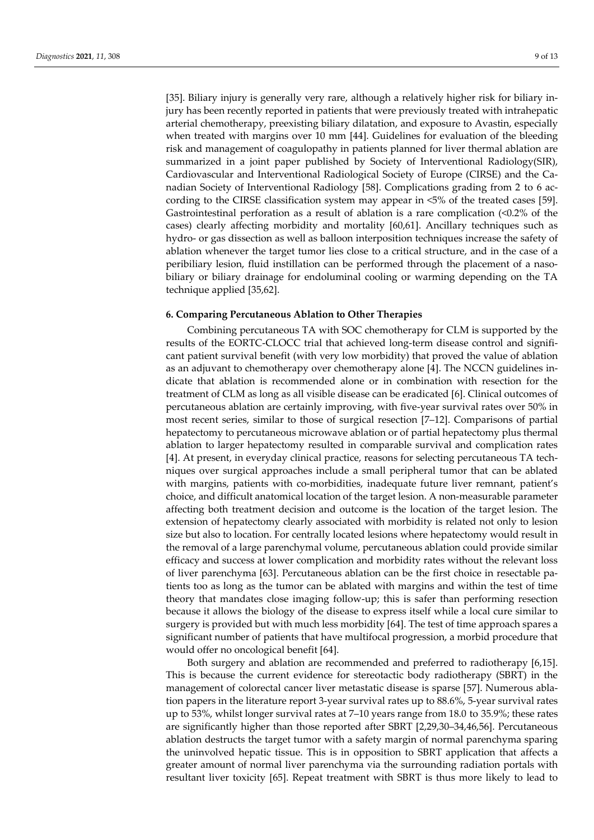[35]. Biliary injury is generally very rare, although a relatively higher risk for biliary injury has been recently reported in patients that were previously treated with intrahepatic arterial chemotherapy, preexisting biliary dilatation, and exposure to Avastin, especially when treated with margins over 10 mm [44]. Guidelines for evaluation of the bleeding risk and management of coagulopathy in patients planned for liver thermal ablation are summarized in a joint paper published by Society of Interventional Radiology(SIR), Cardiovascular and Interventional Radiological Society of Europe (CIRSE) and the Canadian Society of Interventional Radiology [58]. Complications grading from 2 to 6 according to the CIRSE classification system may appear in <5% of the treated cases [59]. Gastrointestinal perforation as a result of ablation is a rare complication (<0.2% of the cases) clearly affecting morbidity and mortality [60,61]. Ancillary techniques such as hydro- or gas dissection as well as balloon interposition techniques increase the safety of ablation whenever the target tumor lies close to a critical structure, and in the case of a peribiliary lesion, fluid instillation can be performed through the placement of a nasobiliary or biliary drainage for endoluminal cooling or warming depending on the TA technique applied [35,62].

#### **6. Comparing Percutaneous Ablation to Other Therapies**

Combining percutaneous TA with SOC chemotherapy for CLM is supported by the results of the EORTC-CLOCC trial that achieved long-term disease control and significant patient survival benefit (with very low morbidity) that proved the value of ablation as an adjuvant to chemotherapy over chemotherapy alone [4]. The NCCN guidelines indicate that ablation is recommended alone or in combination with resection for the treatment of CLM as long as all visible disease can be eradicated [6]. Clinical outcomes of percutaneous ablation are certainly improving, with five-year survival rates over 50% in most recent series, similar to those of surgical resection [7–12]. Comparisons of partial hepatectomy to percutaneous microwave ablation or of partial hepatectomy plus thermal ablation to larger hepatectomy resulted in comparable survival and complication rates [4]. At present, in everyday clinical practice, reasons for selecting percutaneous TA techniques over surgical approaches include a small peripheral tumor that can be ablated with margins, patients with co-morbidities, inadequate future liver remnant, patient's choice, and difficult anatomical location of the target lesion. A non-measurable parameter affecting both treatment decision and outcome is the location of the target lesion. The extension of hepatectomy clearly associated with morbidity is related not only to lesion size but also to location. For centrally located lesions where hepatectomy would result in the removal of a large parenchymal volume, percutaneous ablation could provide similar efficacy and success at lower complication and morbidity rates without the relevant loss of liver parenchyma [63]. Percutaneous ablation can be the first choice in resectable patients too as long as the tumor can be ablated with margins and within the test of time theory that mandates close imaging follow-up; this is safer than performing resection because it allows the biology of the disease to express itself while a local cure similar to surgery is provided but with much less morbidity [64]. The test of time approach spares a significant number of patients that have multifocal progression, a morbid procedure that would offer no oncological benefit [64].

Both surgery and ablation are recommended and preferred to radiotherapy [6,15]. This is because the current evidence for stereotactic body radiotherapy (SBRT) in the management of colorectal cancer liver metastatic disease is sparse [57]. Numerous ablation papers in the literature report 3-year survival rates up to 88.6%, 5-year survival rates up to 53%, whilst longer survival rates at 7–10 years range from 18.0 to 35.9%; these rates are significantly higher than those reported after SBRT [2,29,30–34,46,56]. Percutaneous ablation destructs the target tumor with a safety margin of normal parenchyma sparing the uninvolved hepatic tissue. This is in opposition to SBRT application that affects a greater amount of normal liver parenchyma via the surrounding radiation portals with resultant liver toxicity [65]. Repeat treatment with SBRT is thus more likely to lead to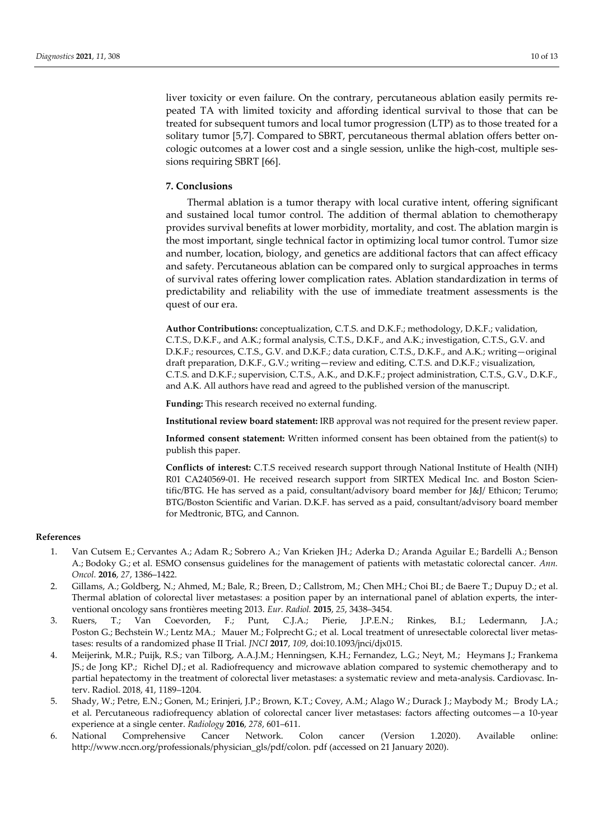liver toxicity or even failure. On the contrary, percutaneous ablation easily permits repeated TA with limited toxicity and affording identical survival to those that can be treated for subsequent tumors and local tumor progression (LTP) as to those treated for a solitary tumor [5,7]. Compared to SBRT, percutaneous thermal ablation offers better oncologic outcomes at a lower cost and a single session, unlike the high-cost, multiple sessions requiring SBRT [66].

# **7. Conclusions**

Thermal ablation is a tumor therapy with local curative intent, offering significant and sustained local tumor control. The addition of thermal ablation to chemotherapy provides survival benefits at lower morbidity, mortality, and cost. The ablation margin is the most important, single technical factor in optimizing local tumor control. Tumor size and number, location, biology, and genetics are additional factors that can affect efficacy and safety. Percutaneous ablation can be compared only to surgical approaches in terms of survival rates offering lower complication rates. Ablation standardization in terms of predictability and reliability with the use of immediate treatment assessments is the quest of our era.

**Author Contributions:** conceptualization, C.T.S. and D.K.F.; methodology, D.K.F.; validation, C.T.S., D.K.F., and A.K.; formal analysis, C.T.S., D.K.F., and A.K.; investigation, C.T.S., G.V. and D.K.F.; resources, C.T.S., G.V. and D.K.F.; data curation, C.T.S., D.K.F., and A.K.; writing—original draft preparation, D.K.F., G.V.; writing—review and editing, C.T.S. and D.K.F.; visualization, C.T.S. and D.K.F.; supervision, C.T.S., A.K., and D.K.F.; project administration, C.T.S., G.V., D.K.F., and A.K. All authors have read and agreed to the published version of the manuscript.

**Funding:** This research received no external funding.

**Institutional review board statement:** IRB approval was not required for the present review paper.

**Informed consent statement:** Written informed consent has been obtained from the patient(s) to publish this paper.

**Conflicts of interest:** C.T.S received research support through National Institute of Health (NIH) R01 CA240569-01. He received research support from SIRTEX Medical Inc. and Boston Scientific/BTG. He has served as a paid, consultant/advisory board member for J&J/ Ethicon; Terumo; BTG/Boston Scientific and Varian. D.K.F. has served as a paid, consultant/advisory board member for Medtronic, BTG, and Cannon.

### **References**

- 1. Van Cutsem E.; Cervantes A.; Adam R.; Sobrero A.; Van Krieken JH.; Aderka D.; Aranda Aguilar E.; Bardelli A.; Benson A.; Bodoky G.; et al. ESMO consensus guidelines for the management of patients with metastatic colorectal cancer. *Ann. Oncol.* **2016**, *27*, 1386–1422.
- 2. Gillams, A.; Goldberg, N.; Ahmed, M.; Bale, R.; Breen, D.; Callstrom, M.; Chen MH.; Choi BI.; de Baere T.; Dupuy D.; et al. Thermal ablation of colorectal liver metastases: a position paper by an international panel of ablation experts, the interventional oncology sans frontières meeting 2013. *Eur. Radiol.* **2015**, *25*, 3438–3454.
- 3. Ruers, T.; Van Coevorden, F.; Punt, C.J.A.; Pierie, J.P.E.N.; Rinkes, B.I.; Ledermann, J.A.; Poston G.; Bechstein W.; Lentz MA.; Mauer M.; Folprecht G.; et al. Local treatment of unresectable colorectal liver metastases: results of a randomized phase II Trial. *JNCI* **2017**, *109*, doi:10.1093/jnci/djx015.
- 4. Meijerink, M.R.; Puijk, R.S.; van Tilborg, A.A.J.M.; Henningsen, K.H.; Fernandez, L.G.; Neyt, M.; Heymans J.; Frankema JS.; de Jong KP.; Richel DJ.; et al. Radiofrequency and microwave ablation compared to systemic chemotherapy and to partial hepatectomy in the treatment of colorectal liver metastases: a systematic review and meta-analysis. Cardiovasc. Interv. Radiol. 2018, 41, 1189–1204.
- 5. Shady, W.; Petre, E.N.; Gonen, M.; Erinjeri, J.P.; Brown, K.T.; Covey, A.M.; Alago W.; Durack J.; Maybody M.; Brody LA.; et al. Percutaneous radiofrequency ablation of colorectal cancer liver metastases: factors affecting outcomes—a 10-year experience at a single center. *Radiology* **2016**, *278*, 601–611.
- 6. National Comprehensive Cancer Network. Colon cancer (Version 1.2020). Available online: http://www.nccn.org/professionals/physician\_gls/pdf/colon. pdf (accessed on 21 January 2020).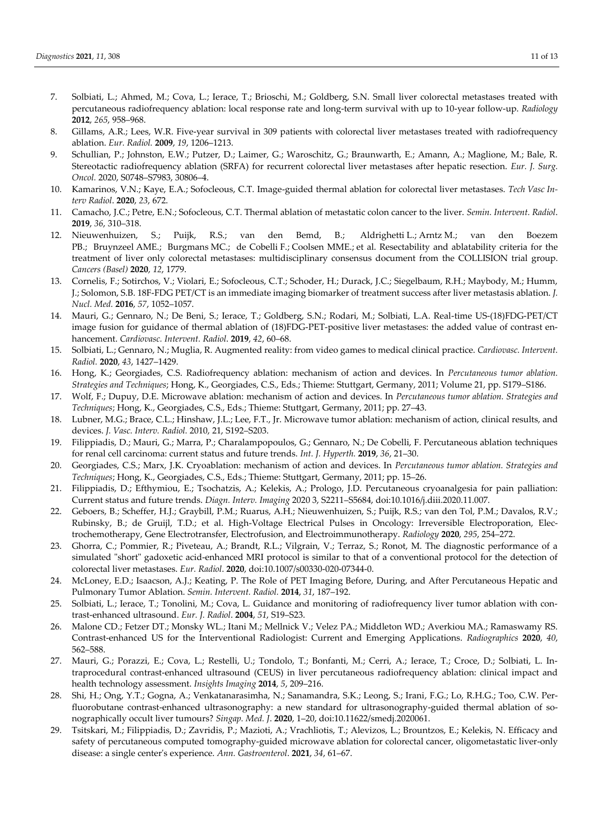- 7. Solbiati, L.; Ahmed, M.; Cova, L.; Ierace, T.; Brioschi, M.; Goldberg, S.N. Small liver colorectal metastases treated with percutaneous radiofrequency ablation: local response rate and long-term survival with up to 10-year follow-up. *Radiology* **2012**, *265*, 958–968.
- 8. Gillams, A.R.; Lees, W.R. Five-year survival in 309 patients with colorectal liver metastases treated with radiofrequency ablation. *Eur. Radiol.* **2009**, *19*, 1206–1213.
- 9. Schullian, P.; Johnston, E.W.; Putzer, D.; Laimer, G.; Waroschitz, G.; Braunwarth, E.; Amann, A.; Maglione, M.; Bale, R. Stereotactic radiofrequency ablation (SRFA) for recurrent colorectal liver metastases after hepatic resection. *Eur. J. Surg. Oncol.* 2020, S0748–S7983, 30806–4.
- 10. Kamarinos, V.N.; Kaye, E.A.; Sofocleous, C.T. Image-guided thermal ablation for colorectal liver metastases. *Tech Vasc Interv Radiol*. **2020**, *23*, 672.
- 11. Camacho, J.C.; Petre, E.N.; Sofocleous, C.T. Thermal ablation of metastatic colon cancer to the liver. *Semin. Intervent. Radiol*. **2019**, *36*, 310–318.
- 12. Nieuwenhuizen, S.; Puijk, R.S.; van den Bemd, B.; Aldrighetti L.; Arntz M.; van den Boezem PB.; Bruynzeel AME.; Burgmans MC.; de Cobelli F.; Coolsen MME.; et al. Resectability and ablatability criteria for the treatment of liver only colorectal metastases: multidisciplinary consensus document from the COLLISION trial group. *Cancers (Basel)* **2020**, *12*, 1779.
- 13. Cornelis, F.; Sotirchos, V.; Violari, E.; Sofocleous, C.T.; Schoder, H.; Durack, J.C.; Siegelbaum, R.H.; Maybody, M.; Humm, J.; Solomon, S.B. 18F-FDG PET/CT is an immediate imaging biomarker of treatment success after liver metastasis ablation. *J. Nucl. Med.* **2016**, *57*, 1052–1057.
- 14. Mauri, G.; Gennaro, N.; De Beni, S.; Ierace, T.; Goldberg, S.N.; Rodari, M.; Solbiati, L.A. Real-time US-(18)FDG-PET/CT image fusion for guidance of thermal ablation of (18)FDG-PET-positive liver metastases: the added value of contrast enhancement. *Cardiovasc. Intervent. Radiol*. **2019**, *42*, 60–68.
- 15. Solbiati, L.; Gennaro, N.; Muglia, R. Augmented reality: from video games to medical clinical practice. *Cardiovasc. Intervent. Radiol.* **2020**, *43*, 1427–1429.
- 16. Hong, K.; Georgiades, C.S. Radiofrequency ablation: mechanism of action and devices. In *Percutaneous tumor ablation. Strategies and Techniques*; Hong, K., Georgiades, C.S., Eds.; Thieme: Stuttgart, Germany, 2011; Volume 21, pp. S179–S186.
- 17. Wolf, F.; Dupuy, D.E. Microwave ablation: mechanism of action and devices. In *Percutaneous tumor ablation. Strategies and Techniques*; Hong, K., Georgiades, C.S., Eds.; Thieme: Stuttgart, Germany, 2011; pp. 27–43.
- 18. Lubner, M.G.; Brace, C.L.; Hinshaw, J.L.; Lee, F.T., Jr. Microwave tumor ablation: mechanism of action, clinical results, and devices. *J. Vasc. Interv. Radiol.* 2010, 21, S192–S203.
- 19. Filippiadis, D.; Mauri, G.; Marra, P.; Charalampopoulos, G.; Gennaro, N.; De Cobelli, F. Percutaneous ablation techniques for renal cell carcinoma: current status and future trends. *Int. J. Hyperth.* **2019**, *36*, 21–30.
- 20. Georgiades, C.S.; Marx, J.K. Cryoablation: mechanism of action and devices. In *Percutaneous tumor ablation. Strategies and Techniques*; Hong, K., Georgiades, C.S., Eds.; Thieme: Stuttgart, Germany, 2011; pp. 15–26.
- 21. Filippiadis, D.; Efthymiou, E.; Tsochatzis, A.; Kelekis, A.; Prologo, J.D. Percutaneous cryoanalgesia for pain palliation: Current status and future trends. *Diagn. Interv. Imaging* 2020 3, S2211–S5684, doi:10.1016/j.diii.2020.11.007.
- 22. Geboers, B.; Scheffer, H.J.; Graybill, P.M.; Ruarus, A.H.; Nieuwenhuizen, S.; Puijk, R.S.; van den Tol, P.M.; Davalos, R.V.; Rubinsky, B.; de Gruijl, T.D.; et al. High-Voltage Electrical Pulses in Oncology: Irreversible Electroporation, Electrochemotherapy, Gene Electrotransfer, Electrofusion, and Electroimmunotherapy. *Radiology* **2020**, *295*, 254–272.
- 23. Ghorra, C.; Pommier, R.; Piveteau, A.; Brandt, R.L.; Vilgrain, V.; Terraz, S.; Ronot, M. The diagnostic performance of a simulated "short" gadoxetic acid-enhanced MRI protocol is similar to that of a conventional protocol for the detection of colorectal liver metastases. *Eur. Radiol*. **2020**, doi:10.1007/s00330-020-07344-0.
- 24. McLoney, E.D.; Isaacson, A.J.; Keating, P. The Role of PET Imaging Before, During, and After Percutaneous Hepatic and Pulmonary Tumor Ablation. *Semin. Intervent. Radiol.* **2014**, *31*, 187–192.
- 25. Solbiati, L.; Ierace, T.; Tonolini, M.; Cova, L. Guidance and monitoring of radiofrequency liver tumor ablation with contrast-enhanced ultrasound. *Eur. J. Radiol*. **2004**, *51*, S19–S23.
- 26. Malone CD.; Fetzer DT.; Monsky WL.; Itani M.; Mellnick V.; Velez PA.; Middleton WD.; Averkiou MA.; Ramaswamy RS. Contrast-enhanced US for the Interventional Radiologist: Current and Emerging Applications. *Radiographics* **2020**, *40*, 562–588.
- 27. Mauri, G.; Porazzi, E.; Cova, L.; Restelli, U.; Tondolo, T.; Bonfanti, M.; Cerri, A.; Ierace, T.; Croce, D.; Solbiati, L. Intraprocedural contrast-enhanced ultrasound (CEUS) in liver percutaneous radiofrequency ablation: clinical impact and health technology assessment. *Insights Imaging* **2014**, *5*, 209–216.
- 28. Shi, H.; Ong, Y.T.; Gogna, A.; Venkatanarasimha, N.; Sanamandra, S.K.; Leong, S.; Irani, F.G.; Lo, R.H.G.; Too, C.W. Perfluorobutane contrast-enhanced ultrasonography: a new standard for ultrasonography-guided thermal ablation of sonographically occult liver tumours? *Singap. Med. J*. **2020**, 1–20, doi:10.11622/smedj.2020061.
- 29. Tsitskari, M.; Filippiadis, D.; Zavridis, P.; Mazioti, A.; Vrachliotis, T.; Alevizos, L.; Brountzos, E.; Kelekis, N. Efficacy and safety of percutaneous computed tomography-guided microwave ablation for colorectal cancer, oligometastatic liver-only disease: a single center's experience. *Ann. Gastroenterol*. **2021**, *34*, 61–67.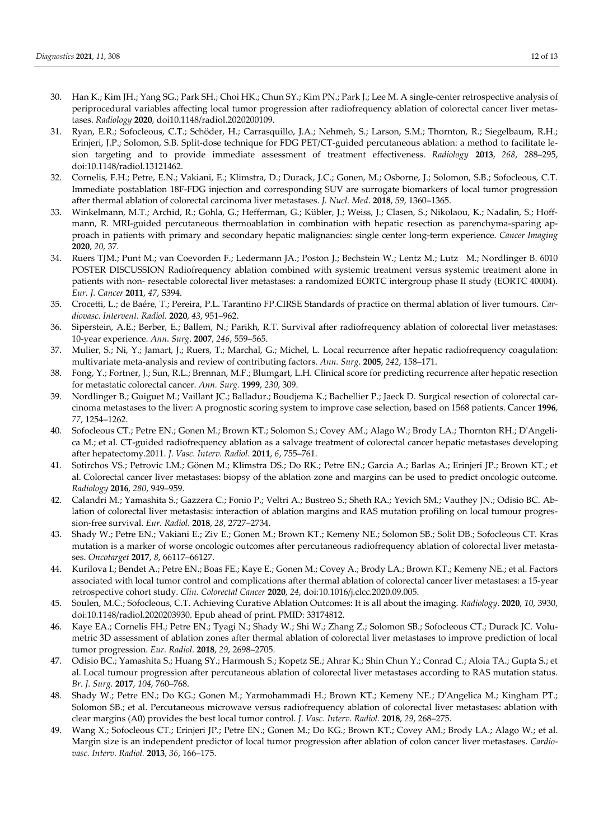- 30. Han K.; Kim JH.; Yang SG.; Park SH.; Choi HK.; Chun SY.; Kim PN.; Park J.; Lee M. A single-center retrospective analysis of periprocedural variables affecting local tumor progression after radiofrequency ablation of colorectal cancer liver metastases. *Radiology* **2020**, doi10.1148/radiol.2020200109.
- 31. Ryan, E.R.; Sofocleous, C.T.; Schöder, H.; Carrasquillo, J.A.; Nehmeh, S.; Larson, S.M.; Thornton, R.; Siegelbaum, R.H.; Erinjeri, J.P.; Solomon, S.B. Split-dose technique for FDG PET/CT-guided percutaneous ablation: a method to facilitate lesion targeting and to provide immediate assessment of treatment effectiveness. *Radiology* **2013**, *268*, 288–295, doi:10.1148/radiol.13121462.
- 32. Cornelis, F.H.; Petre, E.N.; Vakiani, E.; Klimstra, D.; Durack, J.C.; Gonen, M.; Osborne, J.; Solomon, S.B.; Sofocleous, C.T. Immediate postablation 18F-FDG injection and corresponding SUV are surrogate biomarkers of local tumor progression after thermal ablation of colorectal carcinoma liver metastases. *J. Nucl. Med*. **2018**, *59*, 1360–1365.
- 33. Winkelmann, M.T.; Archid, R.; Gohla, G.; Hefferman, G.; Kübler, J.; Weiss, J.; Clasen, S.; Nikolaou, K.; Nadalin, S.; Hoffmann, R. MRI-guided percutaneous thermoablation in combination with hepatic resection as parenchyma-sparing approach in patients with primary and secondary hepatic malignancies: single center long-term experience. *Cancer Imaging* **2020**, *20*, 37.
- 34. Ruers TJM.; Punt M.; van Coevorden F.; Ledermann JA.; Poston J.; Bechstein W.; Lentz M.; Lutz M.; Nordlinger B. 6010 POSTER DISCUSSION Radiofrequency ablation combined with systemic treatment versus systemic treatment alone in patients with non- resectable colorectal liver metastases: a randomized EORTC intergroup phase II study (EORTC 40004). *Eur. J. Cancer* **2011**, *47*, S394.
- 35. Crocetti, L.; de Baére, T.; Pereira, P.L. Tarantino FP.CIRSE Standards of practice on thermal ablation of liver tumours. *Cardiovasc. Intervent. Radiol.* **2020**, *43*, 951–962.
- 36. Siperstein, A.E.; Berber, E.; Ballem, N.; Parikh, R.T. Survival after radiofrequency ablation of colorectal liver metastases: 10-year experience. *Ann*. *Surg*. **2007**, *246*, 559–565.
- 37. Mulier, S.; Ni, Y.; Jamart, J.; Ruers, T.; Marchal, G.; Michel, L. Local recurrence after hepatic radiofrequency coagulation: multivariate meta-analysis and review of contributing factors. *Ann. Surg*. **2005**, *242*, 158–171.
- 38. Fong, Y.; Fortner, J.; Sun, R.L.; Brennan, M.F.; Blumgart, L.H. Clinical score for predicting recurrence after hepatic resection for metastatic colorectal cancer. *Ann. Surg.* **1999**, *230*, 309.
- 39. Nordlinger B.; Guiguet M.; Vaillant JC.; Balladur.; Boudjema K.; Bachellier P.; Jaeck D. Surgical resection of colorectal carcinoma metastases to the liver: A prognostic scoring system to improve case selection, based on 1568 patients. Cancer **1996**, *77*, 1254–1262.
- 40. Sofocleous CT.; Petre EN.; Gonen M.; Brown KT.; Solomon S.; Covey AM.; Alago W.; Brody LA.; Thornton RH.; D'Angelica M.; et al. CT-guided radiofrequency ablation as a salvage treatment of colorectal cancer hepatic metastases developing after hepatectomy.2011. *J. Vasc. Interv. Radiol.* **2011**, *6*, 755–761.
- 41. Sotirchos VS.; Petrovic LM.; Gönen M.; Klimstra DS.; Do RK.; Petre EN.; Garcia A.; Barlas A.; Erinjeri JP.; Brown KT.; et al. Colorectal cancer liver metastases: biopsy of the ablation zone and margins can be used to predict oncologic outcome. *Radiology* **2016**, *280*, 949–959.
- 42. Calandri M.; Yamashita S.; Gazzera C.; Fonio P.; Veltri A.; Bustreo S.; Sheth RA.; Yevich SM.; Vauthey JN.; Odisio BC. Ablation of colorectal liver metastasis: interaction of ablation margins and RAS mutation profiling on local tumour progression-free survival. *Eur. Radiol.* **2018**, *28*, 2727–2734.
- 43. Shady W.; Petre EN.; Vakiani E.; Ziv E.; Gonen M.; Brown KT.; Kemeny NE.; Solomon SB.; Solit DB.; Sofocleous CT. Kras mutation is a marker of worse oncologic outcomes after percutaneous radiofrequency ablation of colorectal liver metastases. *Oncotarget* **2017**, *8*, 66117–66127.
- 44. Kurilova I.; Bendet A.; Petre EN.; Boas FE.; Kaye E.; Gonen M.; Covey A.; Brody LA.; Brown KT.; Kemeny NE.; et al. Factors associated with local tumor control and complications after thermal ablation of colorectal cancer liver metastases: a 15-year retrospective cohort study. *Clin. Colorectal Cancer* **2020**, *24*, doi:10.1016/j.clcc.2020.09.005.
- 45. Soulen, M.C.; Sofocleous, C.T. Achieving Curative Ablation Outcomes: It is all about the imaging. *Radiology*. **2020**, *10*, 3930, doi:10.1148/radiol.2020203930. Epub ahead of print. PMID: 33174812.
- 46. Kaye EA.; Cornelis FH.; Petre EN.; Tyagi N.; Shady W.; Shi W.; Zhang Z.; Solomon SB.; Sofocleous CT.; Durack JC. Volumetric 3D assessment of ablation zones after thermal ablation of colorectal liver metastases to improve prediction of local tumor progression. *Eur. Radiol.* **2018**, *29*, 2698–2705.
- 47. Odisio BC.; Yamashita S.; Huang SY.; Harmoush S.; Kopetz SE.; Ahrar K.; Shin Chun Y.; Conrad C.; Aloia TA.; Gupta S.; et al. Local tumour progression after percutaneous ablation of colorectal liver metastases according to RAS mutation status. *Br. J. Surg.* **2017**, *104*, 760–768.
- 48. Shady W.; Petre EN.; Do KG.; Gonen M.; Yarmohammadi H.; Brown KT.; Kemeny NE.; D'Angelica M.; Kingham PT.; Solomon SB.; et al. Percutaneous microwave versus radiofrequency ablation of colorectal liver metastases: ablation with clear margins (A0) provides the best local tumor control. *J. Vasc. Interv. Radiol.* **2018**, *29*, 268–275.
- 49. Wang X.; Sofocleous CT.; Erinjeri JP.; Petre EN.; Gonen M.; Do KG.; Brown KT.; Covey AM.; Brody LA.; Alago W.; et al. Margin size is an independent predictor of local tumor progression after ablation of colon cancer liver metastases. *Cardiovasc. Interv. Radiol.* **2013**, *36*, 166–175.